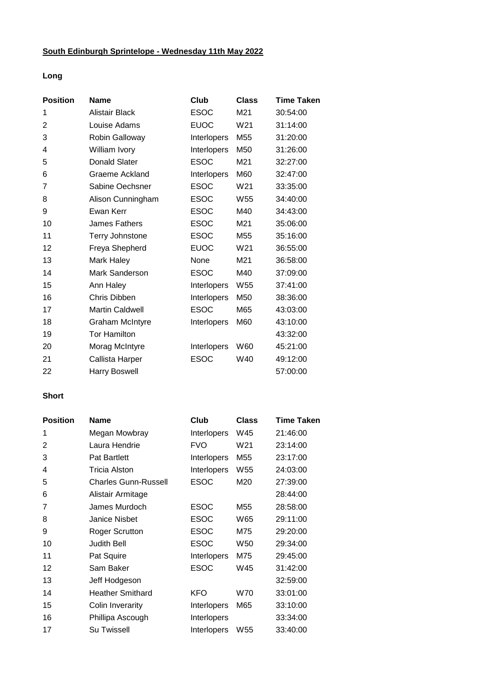## **South Edinburgh Sprintelope - Wednesday 11th May 2022**

## **Long**

| <b>Position</b> | <b>Name</b>            | <b>Club</b> | <b>Class</b>    | <b>Time Taken</b> |
|-----------------|------------------------|-------------|-----------------|-------------------|
| 1               | Alistair Black         | <b>ESOC</b> | M21             | 30:54:00          |
| 2               | Louise Adams           | <b>EUOC</b> | W <sub>21</sub> | 31:14:00          |
| 3               | Robin Galloway         | Interlopers | M55             | 31:20:00          |
| 4               | William Ivory          | Interlopers | M50             | 31:26:00          |
| 5               | <b>Donald Slater</b>   | <b>ESOC</b> | M21             | 32:27:00          |
| 6               | <b>Graeme Ackland</b>  | Interlopers | M60             | 32:47:00          |
| $\overline{7}$  | Sabine Oechsner        | <b>ESOC</b> | W <sub>21</sub> | 33:35:00          |
| 8               | Alison Cunningham      | <b>ESOC</b> | W55             | 34:40:00          |
| 9               | Ewan Kerr              | <b>ESOC</b> | M40             | 34:43:00          |
| 10              | James Fathers          | <b>ESOC</b> | M21             | 35:06:00          |
| 11              | <b>Terry Johnstone</b> | <b>ESOC</b> | M55             | 35:16:00          |
| 12              | Freya Shepherd         | <b>EUOC</b> | W21             | 36:55:00          |
| 13              | Mark Haley             | None        | M21             | 36:58:00          |
| 14              | Mark Sanderson         | <b>ESOC</b> | M40             | 37:09:00          |
| 15              | Ann Haley              | Interlopers | W <sub>55</sub> | 37:41:00          |
| 16              | Chris Dibben           | Interlopers | M50             | 38:36:00          |
| 17              | <b>Martin Caldwell</b> | <b>ESOC</b> | M65             | 43:03:00          |
| 18              | <b>Graham McIntyre</b> | Interlopers | M60             | 43:10:00          |
| 19              | <b>Tor Hamilton</b>    |             |                 | 43:32:00          |
| 20              | Morag McIntyre         | Interlopers | W60             | 45:21:00          |
| 21              | Callista Harper        | <b>ESOC</b> | W40             | 49:12:00          |
| 22              | <b>Harry Boswell</b>   |             |                 | 57:00:00          |

## **Short**

| <b>Position</b> | <b>Name</b>                 | Club        | <b>Class</b>    | <b>Time Taken</b> |
|-----------------|-----------------------------|-------------|-----------------|-------------------|
| 1               | Megan Mowbray               | Interlopers | W45             | 21:46:00          |
| $\overline{2}$  | Laura Hendrie               | <b>FVO</b>  | W <sub>21</sub> | 23:14:00          |
| 3               | <b>Pat Bartlett</b>         | Interlopers | M55             | 23:17:00          |
| 4               | Tricia Alston               | Interlopers | W <sub>55</sub> | 24:03:00          |
| 5               | <b>Charles Gunn-Russell</b> | ESOC        | M20             | 27:39:00          |
| 6               | Alistair Armitage           |             |                 | 28:44:00          |
| 7               | James Murdoch               | <b>ESOC</b> | M <sub>55</sub> | 28:58:00          |
| 8               | Janice Nisbet               | ESOC        | W65             | 29:11:00          |
| 9               | Roger Scrutton              | <b>ESOC</b> | M75             | 29:20:00          |
| 10              | Judith Bell                 | <b>ESOC</b> | W <sub>50</sub> | 29:34:00          |
| 11              | Pat Squire                  | Interlopers | M75             | 29:45:00          |
| 12              | Sam Baker                   | <b>ESOC</b> | W45             | 31:42:00          |
| 13              | Jeff Hodgeson               |             |                 | 32:59:00          |
| 14              | <b>Heather Smithard</b>     | KFO         | W70             | 33:01:00          |
| 15              | <b>Colin Inverarity</b>     | Interlopers | M65             | 33:10:00          |
| 16              | Phillipa Ascough            | Interlopers |                 | 33:34:00          |
| 17              | <b>Su Twissell</b>          | Interlopers | W <sub>55</sub> | 33:40:00          |